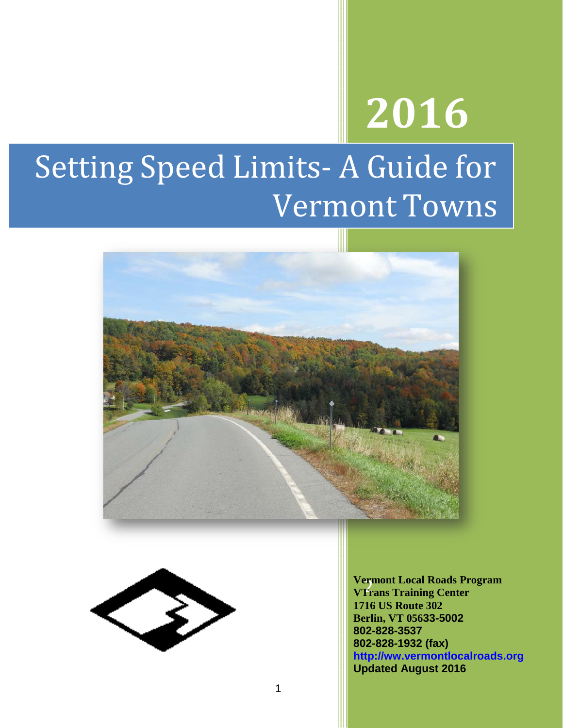# **2016**

# Setting Speed Limits- A Guide for Vermont Towns





2 **VTrans Training Center Vermont Local Roads Program 1716 US Route 302 Berlin, VT 05633-5002 802-828-3537 802-828-1932 (fax) http://ww.vermontlocalroads.org Updated August 2016**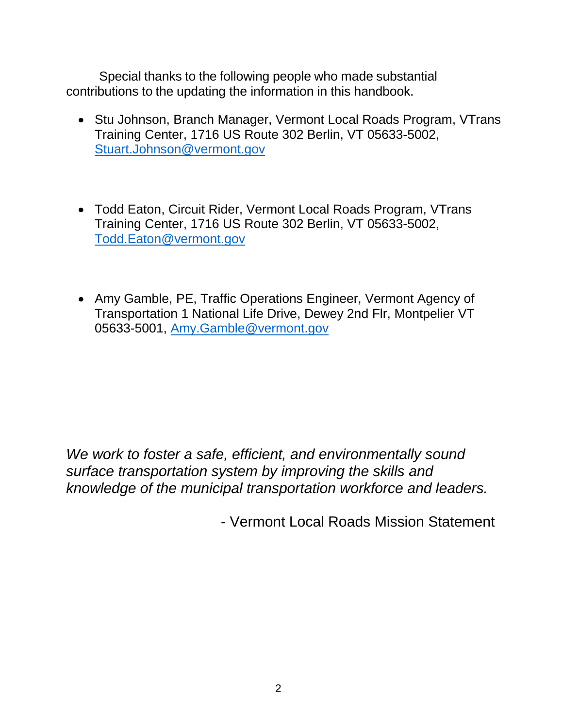Special thanks to the following people who made substantial contributions to the updating the information in this handbook.

- Stu Johnson, Branch Manager, Vermont Local Roads Program, VTrans Training Center, 1716 US Route 302 Berlin, VT 05633-5002, [Stuart.Johnson@vermont.gov](mailto:Stuart.Johnson@vermont.gov)
- Todd Eaton, Circuit Rider, Vermont Local Roads Program, VTrans Training Center, 1716 US Route 302 Berlin, VT 05633-5002, [Todd.Eaton@vermont.gov](mailto:Todd.Eaton@vermont.gov)
- Amy Gamble, PE, Traffic Operations Engineer, Vermont Agency of Transportation 1 National Life Drive, Dewey 2nd Flr, Montpelier VT 05633-5001, [Amy.Gamble@vermont.gov](mailto:Amy.Gamble@vermont.gov)

*We work to foster a safe, efficient, and environmentally sound surface transportation system by improving the skills and knowledge of the municipal transportation workforce and leaders.*

- Vermont Local Roads Mission Statement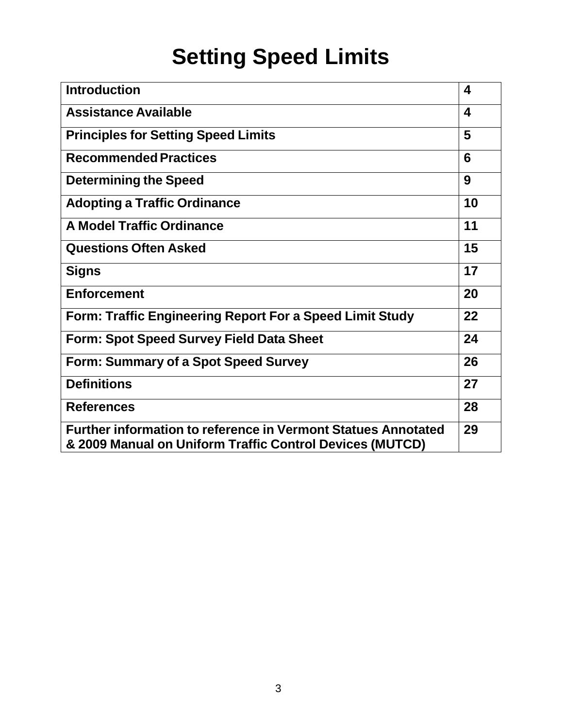## **Setting Speed Limits**

| <b>Introduction</b>                                                                                                              | $\overline{\mathbf{4}}$ |
|----------------------------------------------------------------------------------------------------------------------------------|-------------------------|
| <b>Assistance Available</b>                                                                                                      | $\boldsymbol{4}$        |
| <b>Principles for Setting Speed Limits</b>                                                                                       | 5                       |
| <b>Recommended Practices</b>                                                                                                     | 6                       |
| <b>Determining the Speed</b>                                                                                                     | 9                       |
| <b>Adopting a Traffic Ordinance</b>                                                                                              | 10                      |
| <b>A Model Traffic Ordinance</b>                                                                                                 | 11                      |
| <b>Questions Often Asked</b>                                                                                                     | 15                      |
| <b>Signs</b>                                                                                                                     | 17                      |
| <b>Enforcement</b>                                                                                                               | 20                      |
| Form: Traffic Engineering Report For a Speed Limit Study                                                                         | 22                      |
| Form: Spot Speed Survey Field Data Sheet                                                                                         | 24                      |
| Form: Summary of a Spot Speed Survey                                                                                             | 26                      |
| <b>Definitions</b>                                                                                                               | 27                      |
| <b>References</b>                                                                                                                | 28                      |
| <b>Further information to reference in Vermont Statues Annotated</b><br>& 2009 Manual on Uniform Traffic Control Devices (MUTCD) | 29                      |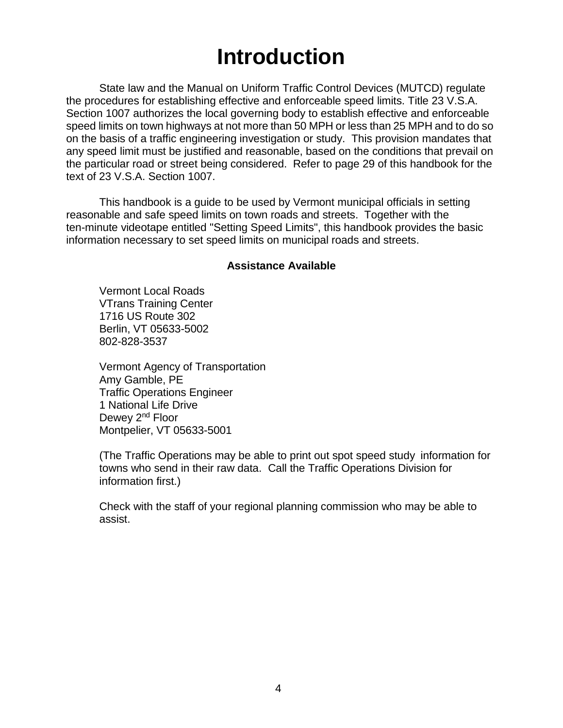## **Introduction**

State law and the Manual on Uniform Traffic Control Devices (MUTCD) regulate the procedures for establishing effective and enforceable speed limits. Title 23 V.S.A. Section 1007 authorizes the local governing body to establish effective and enforceable speed limits on town highways at not more than 50 MPH or less than 25 MPH and to do so on the basis of a traffic engineering investigation or study. This provision mandates that any speed limit must be justified and reasonable, based on the conditions that prevail on the particular road or street being considered. Refer to page 29 of this handbook for the text of 23 V.S.A. Section 1007.

This handbook is a guide to be used by Vermont municipal officials in setting reasonable and safe speed limits on town roads and streets. Together with the ten-minute videotape entitled "Setting Speed Limits", this handbook provides the basic information necessary to set speed limits on municipal roads and streets.

#### **Assistance Available**

Vermont Local Roads VTrans Training Center 1716 US Route 302 Berlin, VT 05633-5002 802-828-3537

Vermont Agency of Transportation Amy Gamble, PE Traffic Operations Engineer 1 National Life Drive Dewey 2<sup>nd</sup> Floor Montpelier, VT 05633-5001

(The Traffic Operations may be able to print out spot speed study information for towns who send in their raw data. Call the Traffic Operations Division for information first.)

Check with the staff of your regional planning commission who may be able to assist.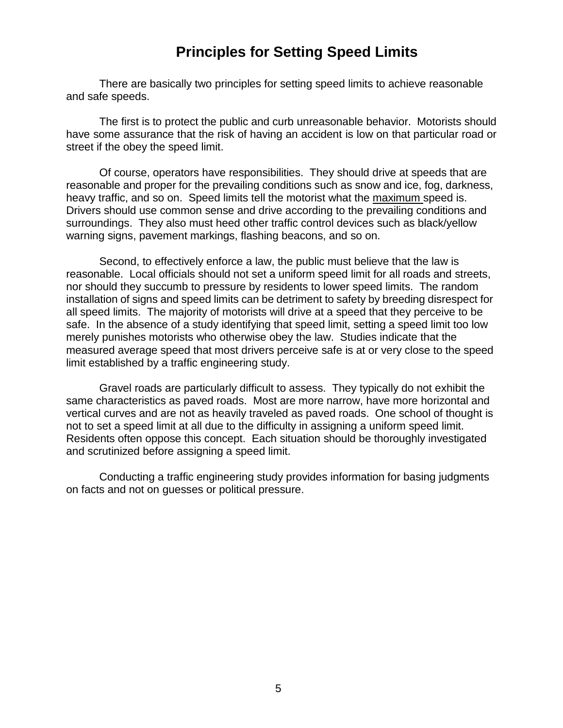## **Principles for Setting Speed Limits**

There are basically two principles for setting speed limits to achieve reasonable and safe speeds.

The first is to protect the public and curb unreasonable behavior. Motorists should have some assurance that the risk of having an accident is low on that particular road or street if the obey the speed limit.

Of course, operators have responsibilities. They should drive at speeds that are reasonable and proper for the prevailing conditions such as snow and ice, fog, darkness, heavy traffic, and so on. Speed limits tell the motorist what the maximum speed is. Drivers should use common sense and drive according to the prevailing conditions and surroundings. They also must heed other traffic control devices such as black/yellow warning signs, pavement markings, flashing beacons, and so on.

Second, to effectively enforce a law, the public must believe that the law is reasonable. Local officials should not set a uniform speed limit for all roads and streets, nor should they succumb to pressure by residents to lower speed limits. The random installation of signs and speed limits can be detriment to safety by breeding disrespect for all speed limits. The majority of motorists will drive at a speed that they perceive to be safe. In the absence of a study identifying that speed limit, setting a speed limit too low merely punishes motorists who otherwise obey the law. Studies indicate that the measured average speed that most drivers perceive safe is at or very close to the speed limit established by a traffic engineering study.

Gravel roads are particularly difficult to assess. They typically do not exhibit the same characteristics as paved roads. Most are more narrow, have more horizontal and vertical curves and are not as heavily traveled as paved roads. One school of thought is not to set a speed limit at all due to the difficulty in assigning a uniform speed limit. Residents often oppose this concept. Each situation should be thoroughly investigated and scrutinized before assigning a speed limit.

Conducting a traffic engineering study provides information for basing judgments on facts and not on guesses or political pressure.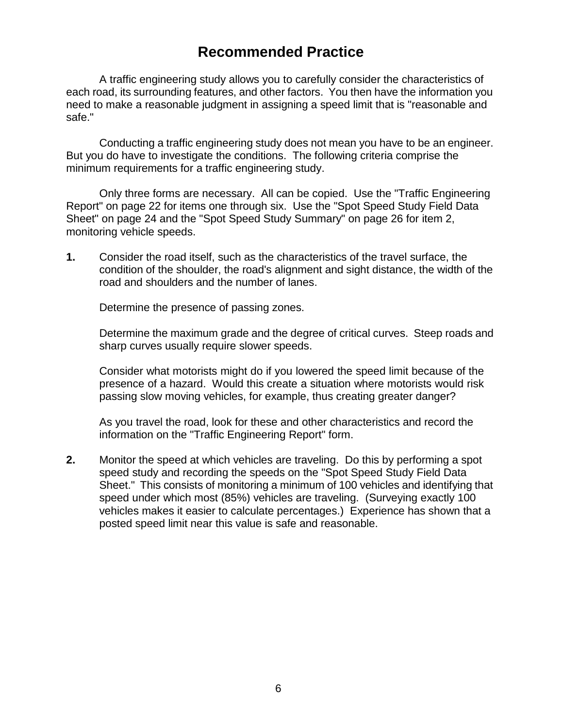## **Recommended Practice**

A traffic engineering study allows you to carefully consider the characteristics of each road, its surrounding features, and other factors. You then have the information you need to make a reasonable judgment in assigning a speed limit that is "reasonable and safe."

Conducting a traffic engineering study does not mean you have to be an engineer. But you do have to investigate the conditions. The following criteria comprise the minimum requirements for a traffic engineering study.

Only three forms are necessary. All can be copied. Use the "Traffic Engineering Report" on page 22 for items one through six. Use the "Spot Speed Study Field Data Sheet" on page 24 and the "Spot Speed Study Summary" on page 26 for item 2, monitoring vehicle speeds.

**1.** Consider the road itself, such as the characteristics of the travel surface, the condition of the shoulder, the road's alignment and sight distance, the width of the road and shoulders and the number of lanes.

Determine the presence of passing zones.

Determine the maximum grade and the degree of critical curves. Steep roads and sharp curves usually require slower speeds.

Consider what motorists might do if you lowered the speed limit because of the presence of a hazard. Would this create a situation where motorists would risk passing slow moving vehicles, for example, thus creating greater danger?

As you travel the road, look for these and other characteristics and record the information on the "Traffic Engineering Report" form.

**2.** Monitor the speed at which vehicles are traveling. Do this by performing a spot speed study and recording the speeds on the "Spot Speed Study Field Data Sheet." This consists of monitoring a minimum of 100 vehicles and identifying that speed under which most (85%) vehicles are traveling. (Surveying exactly 100 vehicles makes it easier to calculate percentages.) Experience has shown that a posted speed limit near this value is safe and reasonable.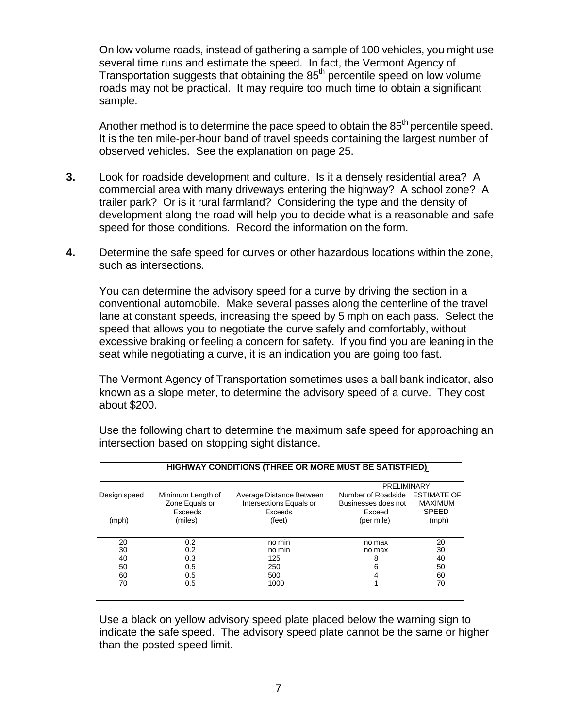On low volume roads, instead of gathering a sample of 100 vehicles, you might use several time runs and estimate the speed. In fact, the Vermont Agency of Transportation suggests that obtaining the  $85<sup>th</sup>$  percentile speed on low volume roads may not be practical. It may require too much time to obtain a significant sample.

Another method is to determine the pace speed to obtain the  $85<sup>th</sup>$  percentile speed. It is the ten mile-per-hour band of travel speeds containing the largest number of observed vehicles. See the explanation on page 25.

- **3.** Look for roadside development and culture. Is it a densely residential area? A commercial area with many driveways entering the highway? A school zone? A trailer park? Or is it rural farmland? Considering the type and the density of development along the road will help you to decide what is a reasonable and safe speed for those conditions. Record the information on the form.
- **4.** Determine the safe speed for curves or other hazardous locations within the zone, such as intersections.

You can determine the advisory speed for a curve by driving the section in a conventional automobile. Make several passes along the centerline of the travel lane at constant speeds, increasing the speed by 5 mph on each pass. Select the speed that allows you to negotiate the curve safely and comfortably, without excessive braking or feeling a concern for safety. If you find you are leaning in the seat while negotiating a curve, it is an indication you are going too fast.

The Vermont Agency of Transportation sometimes uses a ball bank indicator, also known as a slope meter, to determine the advisory speed of a curve. They cost about \$200.

|              |                                                |                                                                | PRELIMINARY                                                     |                                |  |  |
|--------------|------------------------------------------------|----------------------------------------------------------------|-----------------------------------------------------------------|--------------------------------|--|--|
| Design speed | Minimum Length of<br>Zone Equals or<br>Exceeds | Average Distance Between<br>Intersections Equals or<br>Exceeds | Number of Roadside ESTIMATE OF<br>Businesses does not<br>Exceed | <b>MAXIMUM</b><br><b>SPEED</b> |  |  |
| (mph)        | (miles)                                        | (feet)                                                         | (per mile)                                                      | (mph)                          |  |  |
| 20           | 0.2                                            | no min                                                         | no max                                                          | 20                             |  |  |
| 30           | 0.2                                            | no min                                                         | no max                                                          | 30                             |  |  |
| 40           | 0.3                                            | 125                                                            | 8                                                               | 40                             |  |  |
| 50           | 0.5                                            | 250                                                            | 6                                                               | 50                             |  |  |
| 60           | 0.5                                            | 500                                                            | 4                                                               | 60                             |  |  |
| 70           | 0.5                                            | 1000                                                           |                                                                 | 70                             |  |  |

Use the following chart to determine the maximum safe speed for approaching an intersection based on stopping sight distance.

Use a black on yellow advisory speed plate placed below the warning sign to indicate the safe speed. The advisory speed plate cannot be the same or higher than the posted speed limit.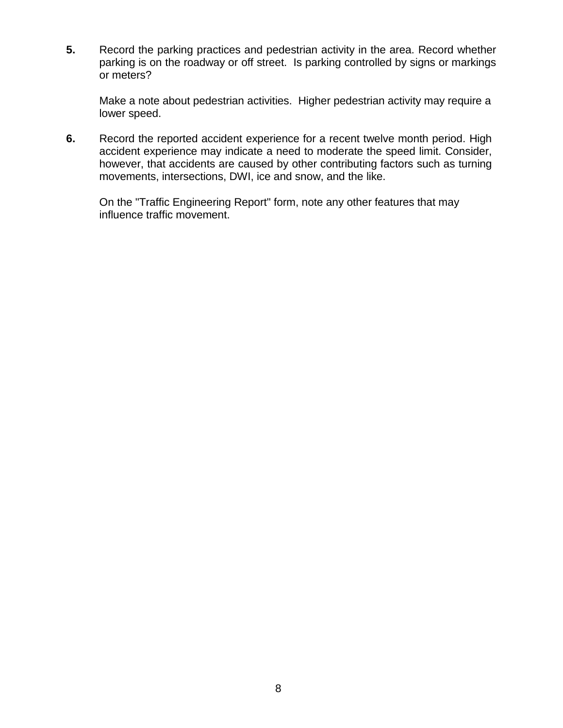**5.** Record the parking practices and pedestrian activity in the area. Record whether parking is on the roadway or off street. Is parking controlled by signs or markings or meters?

Make a note about pedestrian activities. Higher pedestrian activity may require a lower speed.

**6.** Record the reported accident experience for a recent twelve month period. High accident experience may indicate a need to moderate the speed limit. Consider, however, that accidents are caused by other contributing factors such as turning movements, intersections, DWI, ice and snow, and the like.

On the "Traffic Engineering Report" form, note any other features that may influence traffic movement.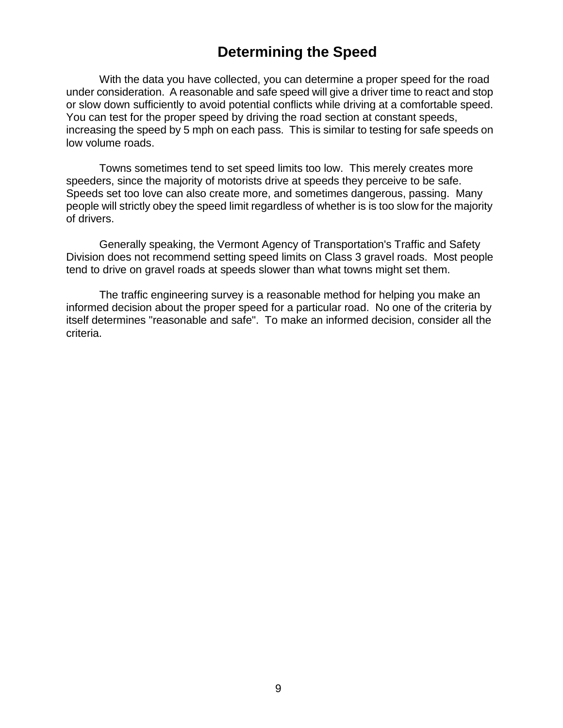### **Determining the Speed**

With the data you have collected, you can determine a proper speed for the road under consideration. A reasonable and safe speed will give a driver time to react and stop or slow down sufficiently to avoid potential conflicts while driving at a comfortable speed. You can test for the proper speed by driving the road section at constant speeds, increasing the speed by 5 mph on each pass. This is similar to testing for safe speeds on low volume roads.

Towns sometimes tend to set speed limits too low. This merely creates more speeders, since the majority of motorists drive at speeds they perceive to be safe. Speeds set too love can also create more, and sometimes dangerous, passing. Many people will strictly obey the speed limit regardless of whether is is too slow for the majority of drivers.

Generally speaking, the Vermont Agency of Transportation's Traffic and Safety Division does not recommend setting speed limits on Class 3 gravel roads. Most people tend to drive on gravel roads at speeds slower than what towns might set them.

The traffic engineering survey is a reasonable method for helping you make an informed decision about the proper speed for a particular road. No one of the criteria by itself determines "reasonable and safe". To make an informed decision, consider all the criteria.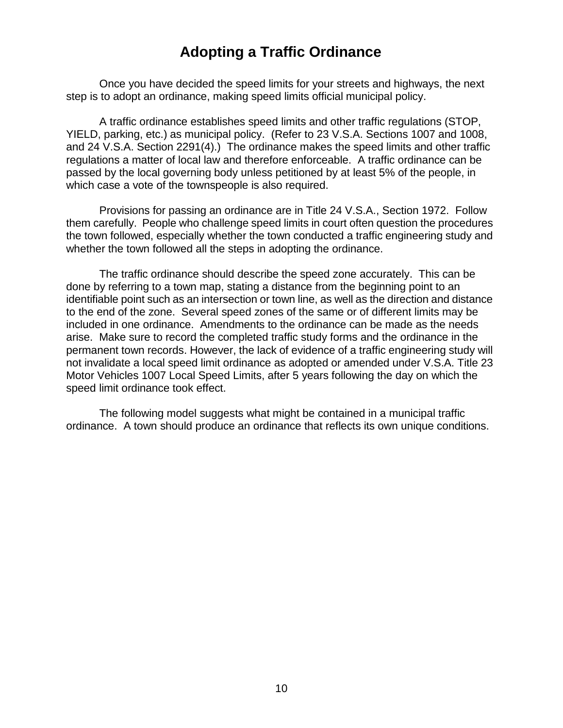## **Adopting a Traffic Ordinance**

Once you have decided the speed limits for your streets and highways, the next step is to adopt an ordinance, making speed limits official municipal policy.

A traffic ordinance establishes speed limits and other traffic regulations (STOP, YIELD, parking, etc.) as municipal policy. (Refer to 23 V.S.A. Sections 1007 and 1008, and 24 V.S.A. Section 2291(4).) The ordinance makes the speed limits and other traffic regulations a matter of local law and therefore enforceable. A traffic ordinance can be passed by the local governing body unless petitioned by at least 5% of the people, in which case a vote of the townspeople is also required.

Provisions for passing an ordinance are in Title 24 V.S.A., Section 1972. Follow them carefully. People who challenge speed limits in court often question the procedures the town followed, especially whether the town conducted a traffic engineering study and whether the town followed all the steps in adopting the ordinance.

The traffic ordinance should describe the speed zone accurately. This can be done by referring to a town map, stating a distance from the beginning point to an identifiable point such as an intersection or town line, as well as the direction and distance to the end of the zone. Several speed zones of the same or of different limits may be included in one ordinance. Amendments to the ordinance can be made as the needs arise. Make sure to record the completed traffic study forms and the ordinance in the permanent town records. However, the lack of evidence of a traffic engineering study will not invalidate a local speed limit ordinance as adopted or amended under V.S.A. Title 23 Motor Vehicles 1007 Local Speed Limits, after 5 years following the day on which the speed limit ordinance took effect.

The following model suggests what might be contained in a municipal traffic ordinance. A town should produce an ordinance that reflects its own unique conditions.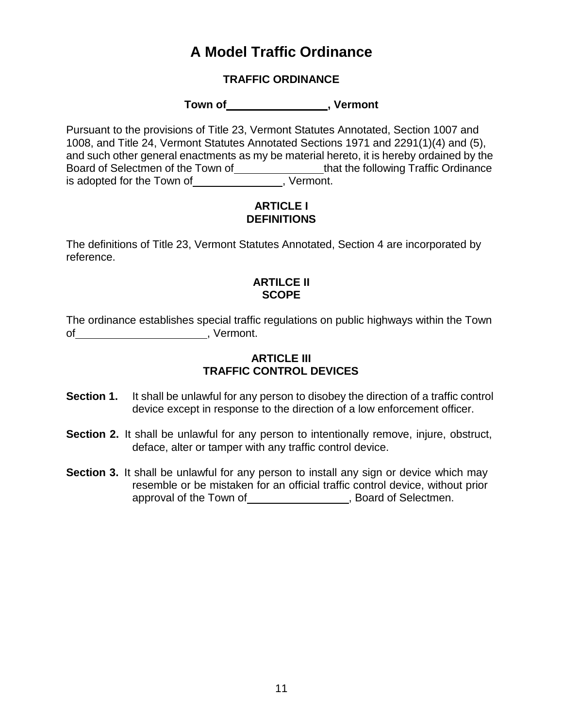## **A Model Traffic Ordinance**

#### **TRAFFIC ORDINANCE**

Town of **contain the contact of the contact of the contact of vermont** 

Pursuant to the provisions of Title 23, Vermont Statutes Annotated, Section 1007 and 1008, and Title 24, Vermont Statutes Annotated Sections 1971 and 2291(1)(4) and (5), and such other general enactments as my be material hereto, it is hereby ordained by the Board of Selectmen of the Town of \_\_\_\_\_\_\_\_\_\_\_\_\_\_\_\_\_\_that the following Traffic Ordinance is adopted for the Town of \_\_\_\_\_\_\_\_\_\_\_\_\_\_\_, Vermont.

#### **ARTICLE I DEFINITIONS**

The definitions of Title 23, Vermont Statutes Annotated, Section 4 are incorporated by reference.

#### **ARTILCE II SCOPE**

The ordinance establishes special traffic regulations on public highways within the Town of , Vermont.

#### **ARTICLE III TRAFFIC CONTROL DEVICES**

- **Section 1.** It shall be unlawful for any person to disobey the direction of a traffic control device except in response to the direction of a low enforcement officer.
- **Section 2.** It shall be unlawful for any person to intentionally remove, injure, obstruct, deface, alter or tamper with any traffic control device.
- **Section 3.** It shall be unlawful for any person to install any sign or device which may resemble or be mistaken for an official traffic control device, without prior approval of the Town of **constant of Selectmen**.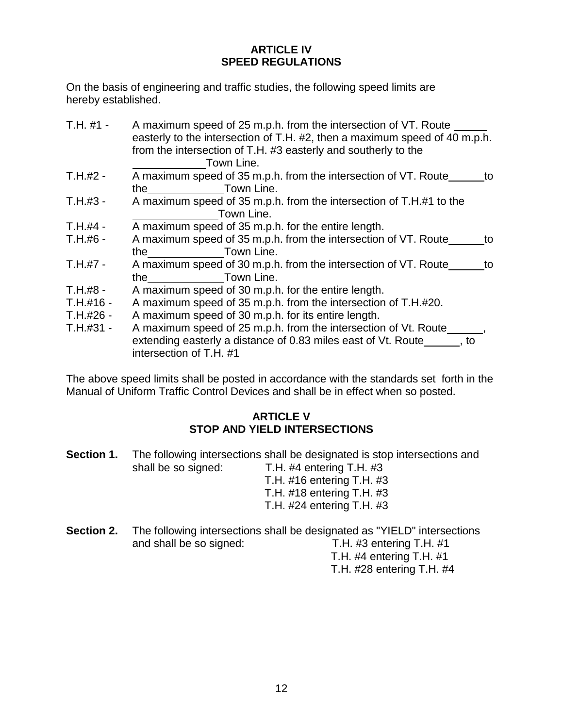#### **ARTICLE IV SPEED REGULATIONS**

On the basis of engineering and traffic studies, the following speed limits are hereby established.

- T.H. #1 A maximum speed of 25 m.p.h. from the intersection of VT. Route easterly to the intersection of T.H. #2, then a maximum speed of 40 m.p.h. from the intersection of T.H. #3 easterly and southerly to the Town Line.
- T.H.#2 A maximum speed of 35 m.p.h. from the intersection of VT. Route to the Town Line.
- T.H.#3 A maximum speed of 35 m.p.h. from the intersection of T.H.#1 to the Town Line.
- T.H.#4 A maximum speed of 35 m.p.h. for the entire length.
- T.H.#6 A maximum speed of 35 m.p.h. from the intersection of VT. Route to the Town Line.
- T.H.#7 A maximum speed of 30 m.p.h. from the intersection of VT. Route to the Town Line.
- T.H.#8 A maximum speed of 30 m.p.h. for the entire length.
- T.H.#16 A maximum speed of 35 m.p.h. from the intersection of T.H.#20.
- T.H.#26 A maximum speed of 30 m.p.h. for its entire length.
- T.H.#31 A maximum speed of 25 m.p.h. from the intersection of Vt. Route extending easterly a distance of 0.83 miles east of Vt. Route  $\qquad \qquad$ , to intersection of T.H. #1

The above speed limits shall be posted in accordance with the standards set forth in the Manual of Uniform Traffic Control Devices and shall be in effect when so posted.

#### **ARTICLE V STOP AND YIELD INTERSECTIONS**

- **Section 1.** The following intersections shall be designated is stop intersections and shall be so signed: T.H. #4 entering T.H. #3 T.H. #16 entering T.H. #3 T.H. #18 entering T.H. #3 T.H. #24 entering T.H. #3
- **Section 2.** The following intersections shall be designated as "YIELD" intersections and shall be so signed: T.H. #3 entering T.H. #1

T.H. #4 entering T.H. #1 T.H. #28 entering T.H. #4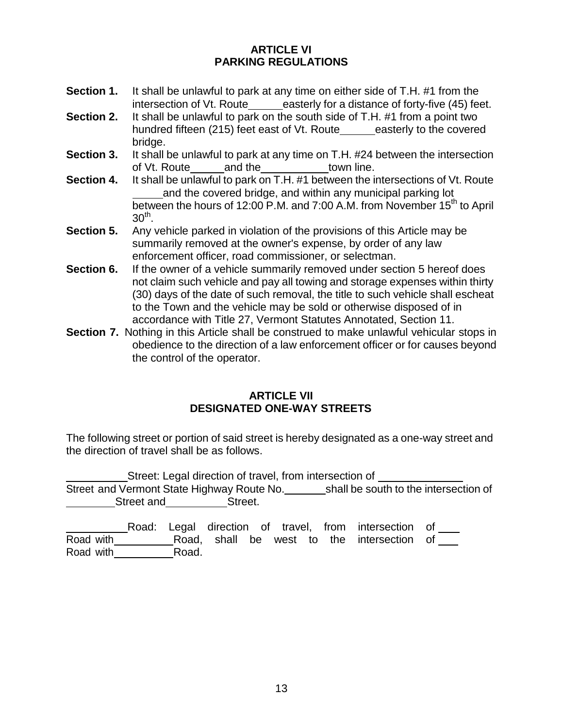#### **ARTICLE VI PARKING REGULATIONS**

- **Section 1.** It shall be unlawful to park at any time on either side of T.H. #1 from the intersection of Vt. Route\_\_\_\_\_easterly for a distance of forty-five (45) feet.
- **Section 2.** It shall be unlawful to park on the south side of T.H. #1 from a point two hundred fifteen (215) feet east of Vt. Route easterly to the covered bridge.
- **Section 3.** It shall be unlawful to park at any time on T.H. #24 between the intersection of Vt. Route and the town line. of Vt. Route and the
- **Section 4.** It shall be unlawful to park on T.H. #1 between the intersections of Vt. Route and the covered bridge, and within any municipal parking lot between the hours of 12:00 P.M. and 7:00 A.M. from November 15<sup>th</sup> to April  $30<sup>th</sup>$ .
- **Section 5.** Any vehicle parked in violation of the provisions of this Article may be summarily removed at the owner's expense, by order of any law enforcement officer, road commissioner, or selectman.
- **Section 6.** If the owner of a vehicle summarily removed under section 5 hereof does not claim such vehicle and pay all towing and storage expenses within thirty (30) days of the date of such removal, the title to such vehicle shall escheat to the Town and the vehicle may be sold or otherwise disposed of in accordance with Title 27, Vermont Statutes Annotated, Section 11.
- **Section 7.** Nothing in this Article shall be construed to make unlawful vehicular stops in obedience to the direction of a law enforcement officer or for causes beyond the control of the operator.

#### **ARTICLE VII DESIGNATED ONE-WAY STREETS**

The following street or portion of said street is hereby designated as a one-way street and the direction of travel shall be as follows.

Street: Legal direction of travel, from intersection of Street and Vermont State Highway Route No. \_\_\_\_\_\_\_\_shall be south to the intersection of **Street and Street.** 

Road: Legal direction of travel, from intersection of Road with **Road, shall be west to the intersection of** Road with Road.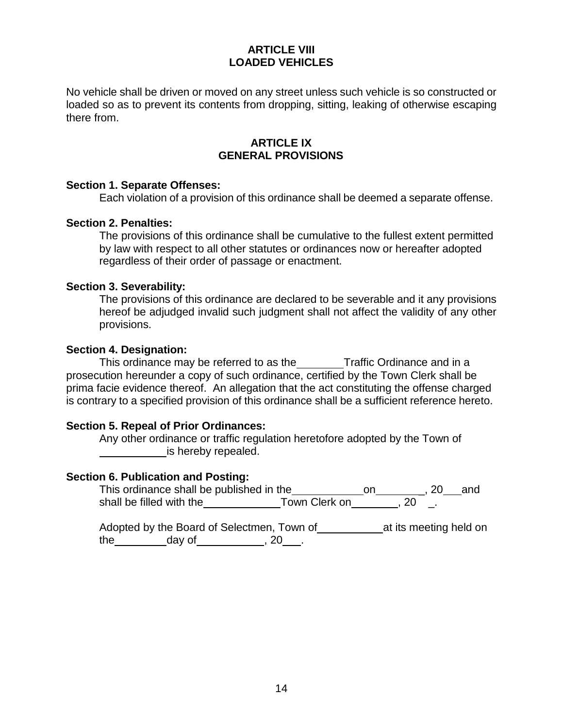#### **ARTICLE VIII LOADED VEHICLES**

No vehicle shall be driven or moved on any street unless such vehicle is so constructed or loaded so as to prevent its contents from dropping, sitting, leaking of otherwise escaping there from.

#### **ARTICLE IX GENERAL PROVISIONS**

#### **Section 1. Separate Offenses:**

Each violation of a provision of this ordinance shall be deemed a separate offense.

#### **Section 2. Penalties:**

The provisions of this ordinance shall be cumulative to the fullest extent permitted by law with respect to all other statutes or ordinances now or hereafter adopted regardless of their order of passage or enactment.

#### **Section 3. Severability:**

The provisions of this ordinance are declared to be severable and it any provisions hereof be adjudged invalid such judgment shall not affect the validity of any other provisions.

#### **Section 4. Designation:**

This ordinance may be referred to as the Traffic Ordinance and in a prosecution hereunder a copy of such ordinance, certified by the Town Clerk shall be prima facie evidence thereof. An allegation that the act constituting the offense charged is contrary to a specified provision of this ordinance shall be a sufficient reference hereto.

#### **Section 5. Repeal of Prior Ordinances:**

Any other ordinance or traffic regulation heretofore adopted by the Town of is hereby repealed.

#### **Section 6. Publication and Posting:**

This ordinance shall be published in the \_\_\_\_\_\_\_\_\_\_\_\_\_on\_\_\_\_\_\_\_\_\_, 20\_\_\_and shall be filled with the\_\_\_\_\_\_\_\_\_\_\_\_\_\_Town Clerk on\_\_\_\_\_\_\_\_, 20 \_.

Adopted by the Board of Selectmen, Town of at its meeting held on the  $\frac{1}{2}$  day of  $\frac{1}{2}$ , 20  $\frac{1}{2}$ .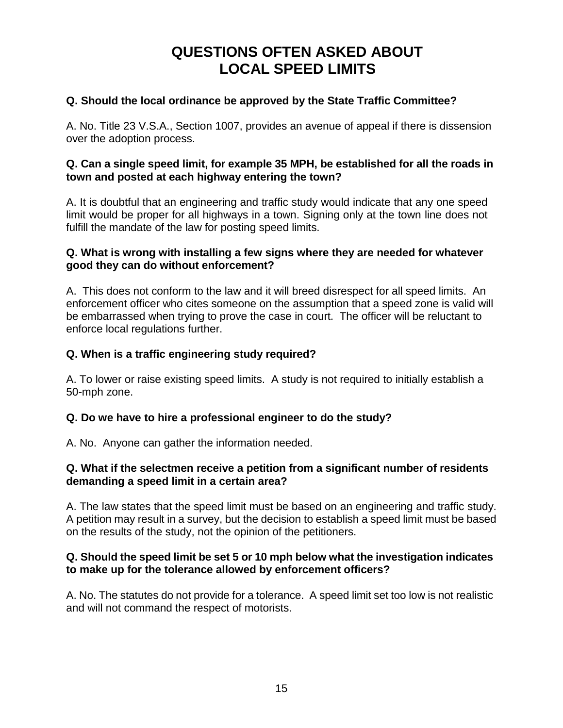## **QUESTIONS OFTEN ASKED ABOUT LOCAL SPEED LIMITS**

#### **Q. Should the local ordinance be approved by the State Traffic Committee?**

A. No. Title 23 V.S.A., Section 1007, provides an avenue of appeal if there is dissension over the adoption process.

#### **Q. Can a single speed limit, for example 35 MPH, be established for all the roads in town and posted at each highway entering the town?**

A. It is doubtful that an engineering and traffic study would indicate that any one speed limit would be proper for all highways in a town. Signing only at the town line does not fulfill the mandate of the law for posting speed limits.

#### **Q. What is wrong with installing a few signs where they are needed for whatever good they can do without enforcement?**

A. This does not conform to the law and it will breed disrespect for all speed limits. An enforcement officer who cites someone on the assumption that a speed zone is valid will be embarrassed when trying to prove the case in court. The officer will be reluctant to enforce local regulations further.

#### **Q. When is a traffic engineering study required?**

A. To lower or raise existing speed limits. A study is not required to initially establish a 50-mph zone.

#### **Q. Do we have to hire a professional engineer to do the study?**

A. No. Anyone can gather the information needed.

#### **Q. What if the selectmen receive a petition from a significant number of residents demanding a speed limit in a certain area?**

A. The law states that the speed limit must be based on an engineering and traffic study. A petition may result in a survey, but the decision to establish a speed limit must be based on the results of the study, not the opinion of the petitioners.

#### **Q. Should the speed limit be set 5 or 10 mph below what the investigation indicates to make up for the tolerance allowed by enforcement officers?**

A. No. The statutes do not provide for a tolerance. A speed limit set too low is not realistic and will not command the respect of motorists.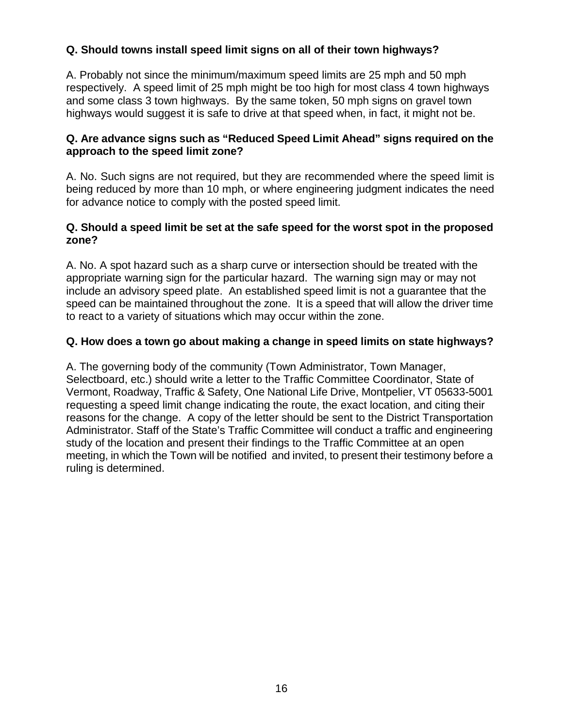#### **Q. Should towns install speed limit signs on all of their town highways?**

A. Probably not since the minimum/maximum speed limits are 25 mph and 50 mph respectively. A speed limit of 25 mph might be too high for most class 4 town highways and some class 3 town highways. By the same token, 50 mph signs on gravel town highways would suggest it is safe to drive at that speed when, in fact, it might not be.

#### **Q. Are advance signs such as "Reduced Speed Limit Ahead" signs required on the approach to the speed limit zone?**

A. No. Such signs are not required, but they are recommended where the speed limit is being reduced by more than 10 mph, or where engineering judgment indicates the need for advance notice to comply with the posted speed limit.

#### **Q. Should a speed limit be set at the safe speed for the worst spot in the proposed zone?**

A. No. A spot hazard such as a sharp curve or intersection should be treated with the appropriate warning sign for the particular hazard. The warning sign may or may not include an advisory speed plate. An established speed limit is not a guarantee that the speed can be maintained throughout the zone. It is a speed that will allow the driver time to react to a variety of situations which may occur within the zone.

#### **Q. How does a town go about making a change in speed limits on state highways?**

A. The governing body of the community (Town Administrator, Town Manager, Selectboard, etc.) should write a letter to the Traffic Committee Coordinator, State of Vermont, Roadway, Traffic & Safety, One National Life Drive, Montpelier, VT 05633-5001 requesting a speed limit change indicating the route, the exact location, and citing their reasons for the change. A copy of the letter should be sent to the District Transportation Administrator. Staff of the State's Traffic Committee will conduct a traffic and engineering study of the location and present their findings to the Traffic Committee at an open meeting, in which the Town will be notified and invited, to present their testimony before a ruling is determined.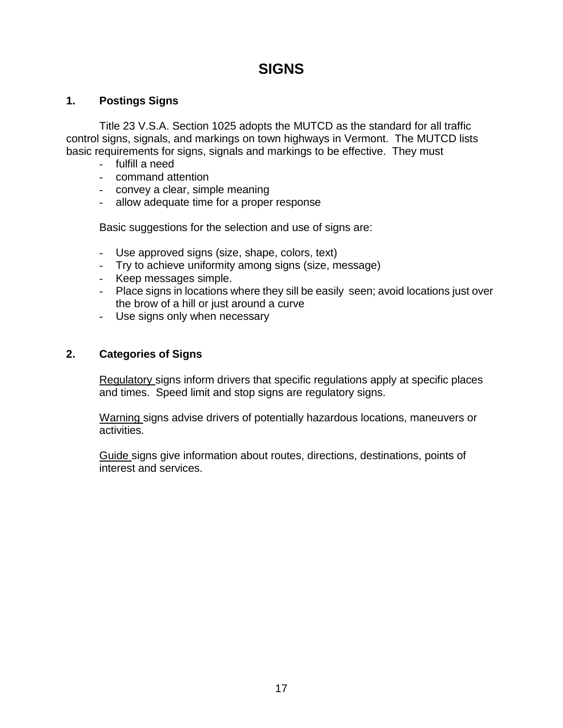## **SIGNS**

#### **1. Postings Signs**

Title 23 V.S.A. Section 1025 adopts the MUTCD as the standard for all traffic control signs, signals, and markings on town highways in Vermont. The MUTCD lists basic requirements for signs, signals and markings to be effective. They must

- fulfill a need
- command attention
- convey a clear, simple meaning
- allow adequate time for a proper response

Basic suggestions for the selection and use of signs are:

- Use approved signs (size, shape, colors, text)
- Try to achieve uniformity among signs (size, message)
- Keep messages simple.
- Place signs in locations where they sill be easily seen; avoid locations just over the brow of a hill or just around a curve
- Use signs only when necessary

#### **2. Categories of Signs**

Regulatory signs inform drivers that specific regulations apply at specific places and times. Speed limit and stop signs are regulatory signs.

Warning signs advise drivers of potentially hazardous locations, maneuvers or activities.

Guide signs give information about routes, directions, destinations, points of interest and services.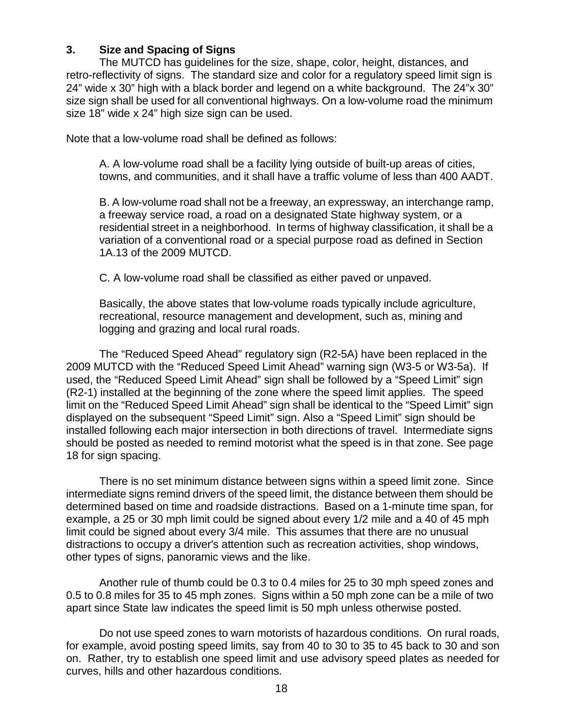#### **3. Size and Spacing of Signs**

The MUTCD has guidelines for the size, shape, color, height, distances, and retro-reflectivity of signs. The standard size and color for a regulatory speed limit sign is 24" wide x 30" high with a black border and legend on a white background. The 24"x 30" size sign shall be used for all conventional highways. On a low-volume road the minimum size 18" wide x 24" high size sign can be used.

Note that a low-volume road shall be defined as follows:

A. A low-volume road shall be a facility lying outside of built-up areas of cities, towns, and communities, and it shall have a traffic volume of less than 400 AADT.

B. A low-volume road shall not be a freeway, an expressway, an interchange ramp, a freeway service road, a road on a designated State highway system, or a residential street in a neighborhood. In terms of highway classification, it shall be a variation of a conventional road or a special purpose road as defined in Section 1A.13 of the 2009 MUTCD.

C. A low-volume road shall be classified as either paved or unpaved.

Basically, the above states that low-volume roads typically include agriculture, recreational, resource management and development, such as, mining and logging and grazing and local rural roads.

The "Reduced Speed Ahead" regulatory sign (R2-5A) have been replaced in the 2009 MUTCD with the "Reduced Speed Limit Ahead" warning sign (W3-5 or W3-5a). If used, the "Reduced Speed Limit Ahead" sign shall be followed by a "Speed Limit" sign (R2-1) installed at the beginning of the zone where the speed limit applies. The speed limit on the "Reduced Speed Limit Ahead" sign shall be identical to the "Speed Limit" sign displayed on the subsequent "Speed Limit" sign. Also a "Speed Limit" sign should be installed following each major intersection in both directions of travel. Intermediate signs should be posted as needed to remind motorist what the speed is in that zone. See page 18 for sign spacing.

There is no set minimum distance between signs within a speed limit zone. Since intermediate signs remind drivers of the speed limit, the distance between them should be determined based on time and roadside distractions. Based on a 1-minute time span, for example, a 25 or 30 mph limit could be signed about every 1/2 mile and a 40 of 45 mph limit could be signed about every 3/4 mile. This assumes that there are no unusual distractions to occupy a driver's attention such as recreation activities, shop windows, other types of signs, panoramic views and the like.

Another rule of thumb could be 0.3 to 0.4 miles for 25 to 30 mph speed zones and 0.5 to 0.8 miles for 35 to 45 mph zones. Signs within a 50 mph zone can be a mile of two apart since State law indicates the speed limit is 50 mph unless otherwise posted.

Do not use speed zones to warn motorists of hazardous conditions. On rural roads, for example, avoid posting speed limits, say from 40 to 30 to 35 to 45 back to 30 and son on. Rather, try to establish one speed limit and use advisory speed plates as needed for curves, hills and other hazardous conditions.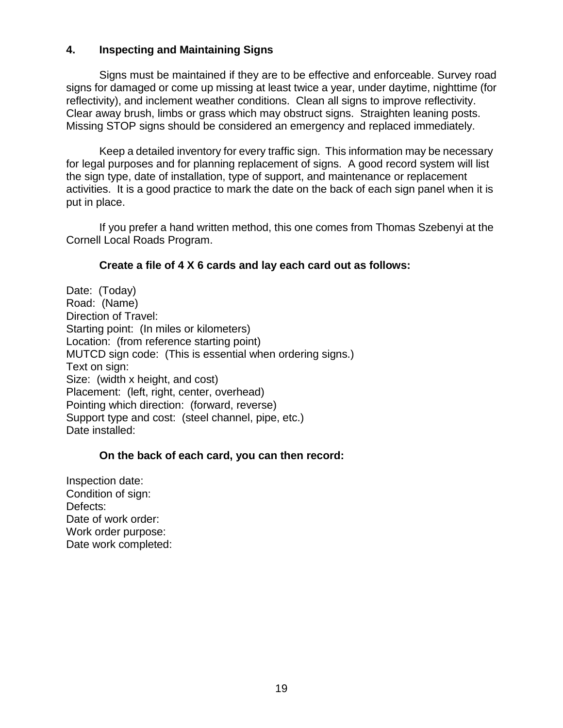#### **4. Inspecting and Maintaining Signs**

Signs must be maintained if they are to be effective and enforceable. Survey road signs for damaged or come up missing at least twice a year, under daytime, nighttime (for reflectivity), and inclement weather conditions. Clean all signs to improve reflectivity. Clear away brush, limbs or grass which may obstruct signs. Straighten leaning posts. Missing STOP signs should be considered an emergency and replaced immediately.

Keep a detailed inventory for every traffic sign. This information may be necessary for legal purposes and for planning replacement of signs. A good record system will list the sign type, date of installation, type of support, and maintenance or replacement activities. It is a good practice to mark the date on the back of each sign panel when it is put in place.

If you prefer a hand written method, this one comes from Thomas Szebenyi at the Cornell Local Roads Program.

#### **Create a file of 4 X 6 cards and lay each card out as follows:**

Date: (Today) Road: (Name) Direction of Travel: Starting point: (In miles or kilometers) Location: (from reference starting point) MUTCD sign code: (This is essential when ordering signs.) Text on sign: Size: (width x height, and cost) Placement: (left, right, center, overhead) Pointing which direction: (forward, reverse) Support type and cost: (steel channel, pipe, etc.) Date installed:

#### **On the back of each card, you can then record:**

Inspection date: Condition of sign: Defects: Date of work order: Work order purpose: Date work completed: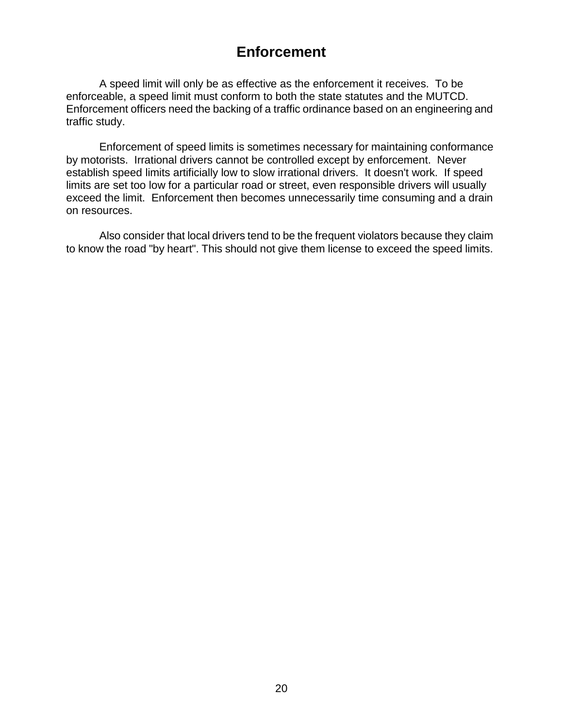## **Enforcement**

A speed limit will only be as effective as the enforcement it receives. To be enforceable, a speed limit must conform to both the state statutes and the MUTCD. Enforcement officers need the backing of a traffic ordinance based on an engineering and traffic study.

Enforcement of speed limits is sometimes necessary for maintaining conformance by motorists. Irrational drivers cannot be controlled except by enforcement. Never establish speed limits artificially low to slow irrational drivers. It doesn't work. If speed limits are set too low for a particular road or street, even responsible drivers will usually exceed the limit. Enforcement then becomes unnecessarily time consuming and a drain on resources.

Also consider that local drivers tend to be the frequent violators because they claim to know the road "by heart". This should not give them license to exceed the speed limits.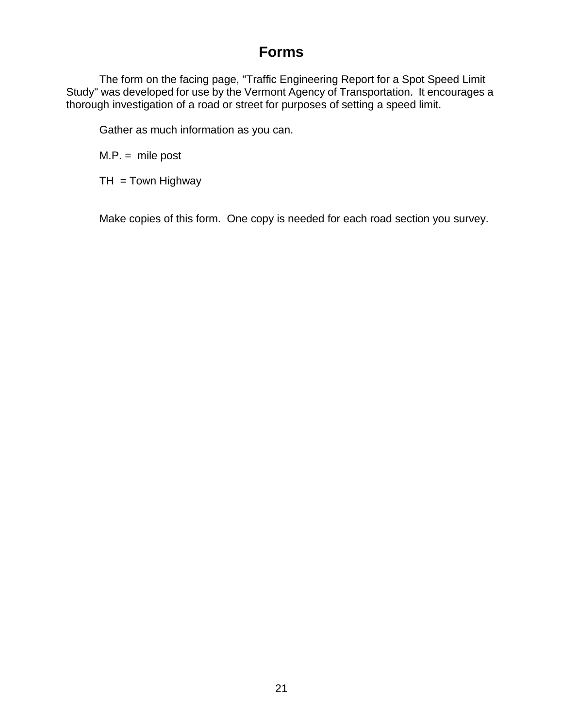## **Forms**

The form on the facing page, "Traffic Engineering Report for a Spot Speed Limit Study" was developed for use by the Vermont Agency of Transportation. It encourages a thorough investigation of a road or street for purposes of setting a speed limit.

Gather as much information as you can.

 $M.P. =$  mile post

 $TH = Town$  Highway

Make copies of this form. One copy is needed for each road section you survey.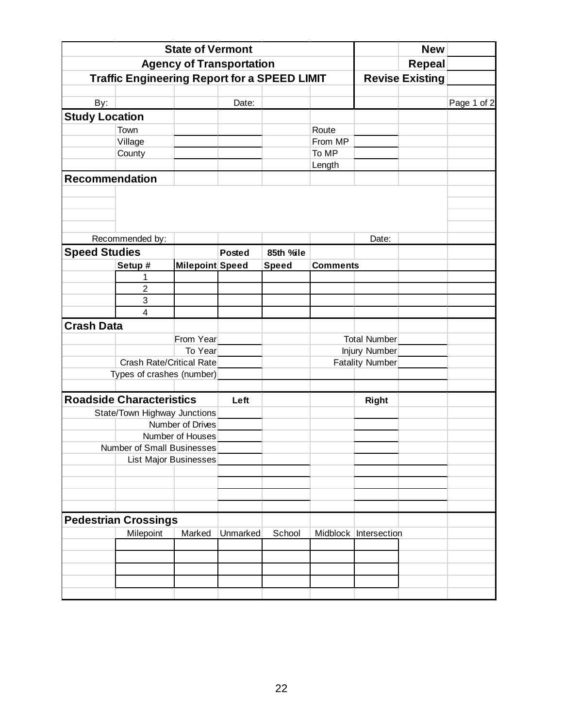|                                 |                                                     | <b>State of Vermont</b> |               |              |                 |                         | <b>New</b>    |             |
|---------------------------------|-----------------------------------------------------|-------------------------|---------------|--------------|-----------------|-------------------------|---------------|-------------|
| <b>Agency of Transportation</b> |                                                     |                         |               |              |                 |                         | <b>Repeal</b> |             |
|                                 | <b>Traffic Engineering Report for a SPEED LIMIT</b> |                         |               |              |                 | <b>Revise Existing</b>  |               |             |
|                                 |                                                     |                         |               |              |                 |                         |               |             |
| <b>By:</b>                      |                                                     |                         | Date:         |              |                 |                         |               | Page 1 of 2 |
| <b>Study Location</b>           |                                                     |                         |               |              |                 |                         |               |             |
|                                 | Town                                                |                         |               |              | Route           |                         |               |             |
|                                 | Village                                             |                         |               |              | From MP         |                         |               |             |
|                                 | County                                              |                         |               |              | To MP           |                         |               |             |
|                                 |                                                     |                         |               |              | Length          |                         |               |             |
| <b>Recommendation</b>           |                                                     |                         |               |              |                 |                         |               |             |
|                                 |                                                     |                         |               |              |                 |                         |               |             |
|                                 |                                                     |                         |               |              |                 |                         |               |             |
|                                 |                                                     |                         |               |              |                 |                         |               |             |
|                                 | Recommended by:                                     |                         |               |              |                 | Date:                   |               |             |
| <b>Speed Studies</b>            |                                                     |                         | <b>Posted</b> | 85th %ile    |                 |                         |               |             |
|                                 | Setup #                                             | Milepoint Speed         |               |              | <b>Comments</b> |                         |               |             |
|                                 | 1                                                   |                         |               | <b>Speed</b> |                 |                         |               |             |
|                                 | $\overline{\mathbf{c}}$                             |                         |               |              |                 |                         |               |             |
|                                 | 3                                                   |                         |               |              |                 |                         |               |             |
|                                 | 4                                                   |                         |               |              |                 |                         |               |             |
| <b>Crash Data</b>               |                                                     |                         |               |              |                 |                         |               |             |
|                                 |                                                     | From Year               |               |              |                 | <b>Total Number</b>     |               |             |
|                                 |                                                     | To Year                 |               |              |                 | <b>Injury Number</b>    |               |             |
|                                 | <b>Crash Rate/Critical Rate</b>                     |                         |               |              |                 | <b>Fatality Number</b>  |               |             |
|                                 | Types of crashes (number)                           |                         |               |              |                 |                         |               |             |
|                                 |                                                     |                         |               |              |                 |                         |               |             |
|                                 | <b>Roadside Characteristics</b>                     |                         | Left          |              |                 | <b>Right</b>            |               |             |
|                                 | State/Town Highway Junctions                        |                         |               |              |                 |                         |               |             |
|                                 |                                                     | Number of Drives        |               |              |                 |                         |               |             |
|                                 |                                                     | Number of Houses        |               |              |                 |                         |               |             |
|                                 | Number of Small Businesses                          |                         |               |              |                 |                         |               |             |
|                                 | <b>List Major Businesses</b>                        |                         |               |              |                 |                         |               |             |
|                                 |                                                     |                         |               |              |                 |                         |               |             |
|                                 |                                                     |                         |               |              |                 |                         |               |             |
|                                 |                                                     |                         |               |              |                 |                         |               |             |
|                                 |                                                     |                         |               |              |                 |                         |               |             |
|                                 | <b>Pedestrian Crossings</b>                         |                         |               |              |                 |                         |               |             |
|                                 | Milepoint                                           | Marked                  | Unmarked      | School       |                 | Midblock   Intersection |               |             |
|                                 |                                                     |                         |               |              |                 |                         |               |             |
|                                 |                                                     |                         |               |              |                 |                         |               |             |
|                                 |                                                     |                         |               |              |                 |                         |               |             |
|                                 |                                                     |                         |               |              |                 |                         |               |             |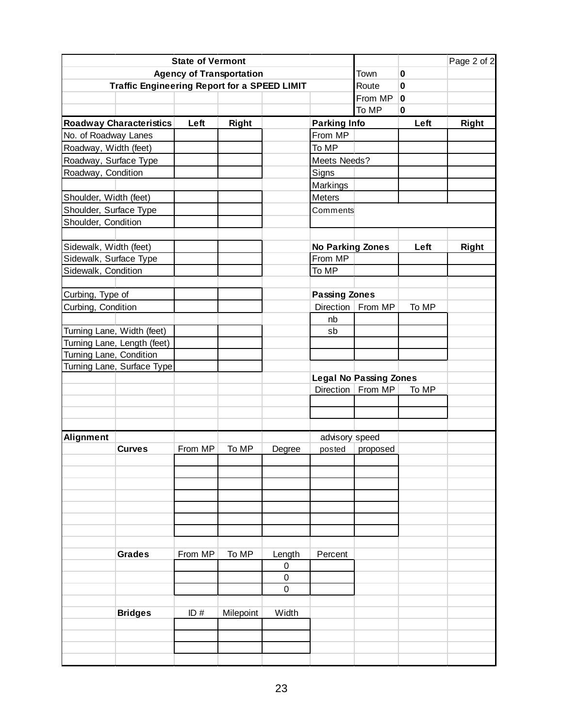| <b>State of Vermont</b>    |                                                     |         |              |                  |                         |                               |             | Page 2 of 2  |
|----------------------------|-----------------------------------------------------|---------|--------------|------------------|-------------------------|-------------------------------|-------------|--------------|
|                            | <b>Agency of Transportation</b>                     | Town    | $\mathbf 0$  |                  |                         |                               |             |              |
|                            | <b>Traffic Engineering Report for a SPEED LIMIT</b> |         |              |                  |                         | Route                         | $\mathbf 0$ |              |
|                            |                                                     |         |              |                  |                         | From MP                       | 0           |              |
|                            |                                                     |         |              |                  |                         | To MP                         | $\bf{0}$    |              |
|                            | <b>Roadway Characteristics</b>                      | Left    | <b>Right</b> |                  | <b>Parking Info</b>     |                               | Left        | <b>Right</b> |
| No. of Roadway Lanes       |                                                     |         |              |                  | From MP                 |                               |             |              |
| Roadway, Width (feet)      |                                                     |         |              |                  | To MP                   |                               |             |              |
| Roadway, Surface Type      |                                                     |         |              |                  | Meets Needs?            |                               |             |              |
| Roadway, Condition         |                                                     |         |              |                  | Signs                   |                               |             |              |
|                            |                                                     |         |              |                  | Markings                |                               |             |              |
| Shoulder, Width (feet)     |                                                     |         |              |                  | Meters                  |                               |             |              |
| Shoulder, Surface Type     |                                                     |         |              |                  | Comments                |                               |             |              |
| Shoulder, Condition        |                                                     |         |              |                  |                         |                               |             |              |
|                            |                                                     |         |              |                  |                         |                               |             |              |
| Sidewalk, Width (feet)     |                                                     |         |              |                  | <b>No Parking Zones</b> |                               | Left        | <b>Right</b> |
| Sidewalk, Surface Type     |                                                     |         |              |                  | From MP                 |                               |             |              |
| Sidewalk, Condition        |                                                     |         |              |                  | To MP                   |                               |             |              |
|                            |                                                     |         |              |                  |                         |                               |             |              |
| Curbing, Type of           |                                                     |         |              |                  | <b>Passing Zones</b>    |                               |             |              |
| Curbing, Condition         |                                                     |         |              |                  | Direction               | From MP                       | To MP       |              |
|                            |                                                     |         |              |                  | nb                      |                               |             |              |
| Turning Lane, Width (feet) |                                                     |         |              |                  | sb                      |                               |             |              |
|                            | Turning Lane, Length (feet)                         |         |              |                  |                         |                               |             |              |
| Turning Lane, Condition    |                                                     |         |              |                  |                         |                               |             |              |
|                            | Turning Lane, Surface Type                          |         |              |                  |                         |                               |             |              |
|                            |                                                     |         |              |                  |                         | <b>Legal No Passing Zones</b> |             |              |
|                            |                                                     |         |              |                  |                         | Direction   From MP           | To MP       |              |
|                            |                                                     |         |              |                  |                         |                               |             |              |
|                            |                                                     |         |              |                  |                         |                               |             |              |
|                            |                                                     |         |              |                  |                         |                               |             |              |
| Alignment                  |                                                     |         |              |                  | advisory speed          |                               |             |              |
|                            | <b>Curves</b>                                       | From MP | To MP        | Degree           | posted                  | proposed                      |             |              |
|                            |                                                     |         |              |                  |                         |                               |             |              |
|                            |                                                     |         |              |                  |                         |                               |             |              |
|                            |                                                     |         |              |                  |                         |                               |             |              |
|                            |                                                     |         |              |                  |                         |                               |             |              |
|                            |                                                     |         |              |                  |                         |                               |             |              |
|                            |                                                     |         |              |                  |                         |                               |             |              |
|                            |                                                     |         |              |                  |                         |                               |             |              |
|                            | <b>Grades</b>                                       | From MP | To MP        | Length           | Percent                 |                               |             |              |
|                            |                                                     |         |              | $\boldsymbol{0}$ |                         |                               |             |              |
|                            |                                                     |         |              | $\boldsymbol{0}$ |                         |                               |             |              |
|                            |                                                     |         |              | $\pmb{0}$        |                         |                               |             |              |
|                            |                                                     |         |              |                  |                         |                               |             |              |
|                            | <b>Bridges</b>                                      | ID#     | Milepoint    | Width            |                         |                               |             |              |
|                            |                                                     |         |              |                  |                         |                               |             |              |
|                            |                                                     |         |              |                  |                         |                               |             |              |
|                            |                                                     |         |              |                  |                         |                               |             |              |
|                            |                                                     |         |              |                  |                         |                               |             |              |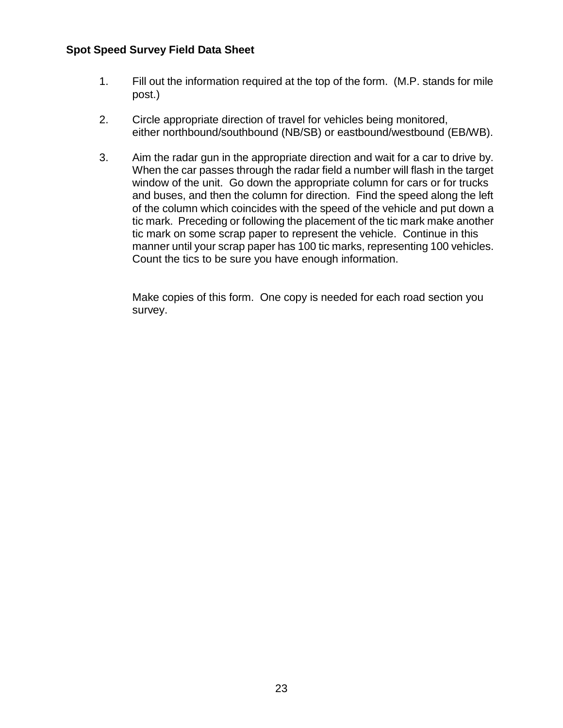#### **Spot Speed Survey Field Data Sheet**

- 1. Fill out the information required at the top of the form. (M.P. stands for mile post.)
- 2. Circle appropriate direction of travel for vehicles being monitored, either northbound/southbound (NB/SB) or eastbound/westbound (EB/WB).
- 3. Aim the radar gun in the appropriate direction and wait for a car to drive by. When the car passes through the radar field a number will flash in the target window of the unit. Go down the appropriate column for cars or for trucks and buses, and then the column for direction. Find the speed along the left of the column which coincides with the speed of the vehicle and put down a tic mark. Preceding or following the placement of the tic mark make another tic mark on some scrap paper to represent the vehicle. Continue in this manner until your scrap paper has 100 tic marks, representing 100 vehicles. Count the tics to be sure you have enough information.

Make copies of this form. One copy is needed for each road section you survey.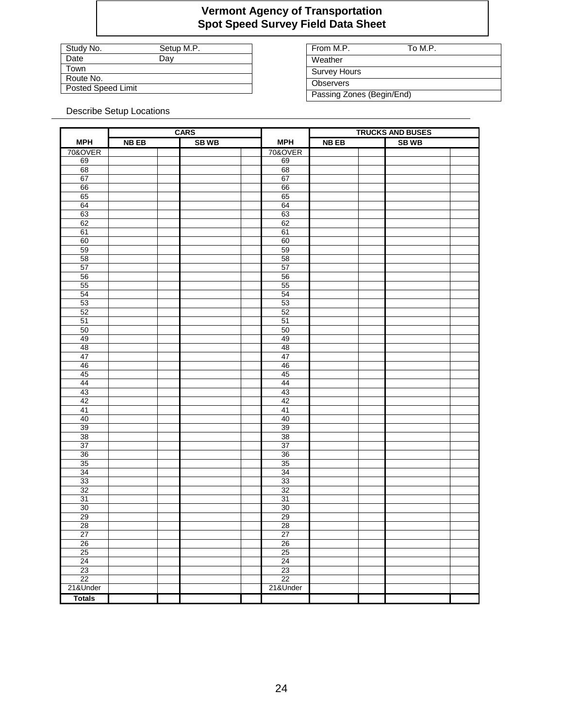#### **Vermont Agency of Transportation Spot Speed Survey Field Data Sheet**

| Study No.                 | Setup M.P. |
|---------------------------|------------|
| Date                      | Dav        |
| Town                      |            |
| Route No.                 |            |
| <b>Posted Speed Limit</b> |            |

From M.P. To M.P. **Weather** Survey Hours

**Observers** Passing Zones (Begin/End)

Describe Setup Locations

|                 | <b>CARS</b> |  |             |  | <b>TRUCKS AND BUSES</b> |             |  |             |  |
|-----------------|-------------|--|-------------|--|-------------------------|-------------|--|-------------|--|
| <b>MPH</b>      | <b>NBEB</b> |  | <b>SBWB</b> |  | <b>MPH</b>              | <b>NBEB</b> |  | <b>SBWB</b> |  |
| 70&OVER         |             |  |             |  | 70&OVER                 |             |  |             |  |
| 69              |             |  |             |  | 69                      |             |  |             |  |
| 68              |             |  |             |  | 68                      |             |  |             |  |
| 67              |             |  |             |  | 67                      |             |  |             |  |
| 66              |             |  |             |  | 66                      |             |  |             |  |
| 65              |             |  |             |  | 65                      |             |  |             |  |
| 64              |             |  |             |  | 64                      |             |  |             |  |
| 63              |             |  |             |  | 63                      |             |  |             |  |
| 62              |             |  |             |  | 62                      |             |  |             |  |
| 61              |             |  |             |  | 61                      |             |  |             |  |
| 60              |             |  |             |  | 60                      |             |  |             |  |
| 59              |             |  |             |  | 59                      |             |  |             |  |
| 58              |             |  |             |  | 58                      |             |  |             |  |
| 57              |             |  |             |  | 57                      |             |  |             |  |
| 56              |             |  |             |  | 56                      |             |  |             |  |
| 55              |             |  |             |  | 55                      |             |  |             |  |
| 54              |             |  |             |  | 54                      |             |  |             |  |
| 53              |             |  |             |  | 53                      |             |  |             |  |
| 52              |             |  |             |  | 52                      |             |  |             |  |
| 51              |             |  |             |  | 51                      |             |  |             |  |
| 50              |             |  |             |  | 50                      |             |  |             |  |
| 49              |             |  |             |  | 49                      |             |  |             |  |
| 48              |             |  |             |  | 48                      |             |  |             |  |
| 47              |             |  |             |  | 47                      |             |  |             |  |
| 46              |             |  |             |  | 46                      |             |  |             |  |
| 45              |             |  |             |  | 45                      |             |  |             |  |
| 44              |             |  |             |  | 44                      |             |  |             |  |
| 43              |             |  |             |  | 43                      |             |  |             |  |
| 42              |             |  |             |  | 42                      |             |  |             |  |
| 41              |             |  |             |  | 41                      |             |  |             |  |
| 40              |             |  |             |  | 40                      |             |  |             |  |
| 39              |             |  |             |  | 39                      |             |  |             |  |
| 38              |             |  |             |  | 38                      |             |  |             |  |
| 37              |             |  |             |  | 37                      |             |  |             |  |
| 36              |             |  |             |  | 36                      |             |  |             |  |
| 35              |             |  |             |  | 35                      |             |  |             |  |
| 34              |             |  |             |  | 34                      |             |  |             |  |
| 33              |             |  |             |  | 33                      |             |  |             |  |
| 32              |             |  |             |  | 32                      |             |  |             |  |
| 31              |             |  |             |  | 31                      |             |  |             |  |
| 30              |             |  |             |  | 30                      |             |  |             |  |
| 29              |             |  |             |  | 29                      |             |  |             |  |
| 28              |             |  |             |  | 28                      |             |  |             |  |
| 27              |             |  |             |  | 27                      |             |  |             |  |
| 26              |             |  |             |  | 26                      |             |  |             |  |
| 25              |             |  |             |  | 25                      |             |  |             |  |
| 24              |             |  |             |  | 24                      |             |  |             |  |
| 23              |             |  |             |  | 23                      |             |  |             |  |
| $\overline{22}$ |             |  |             |  | $\overline{22}$         |             |  |             |  |
| 21&Under        |             |  |             |  | 21&Under                |             |  |             |  |
|                 |             |  |             |  |                         |             |  |             |  |
| <b>Totals</b>   |             |  |             |  |                         |             |  |             |  |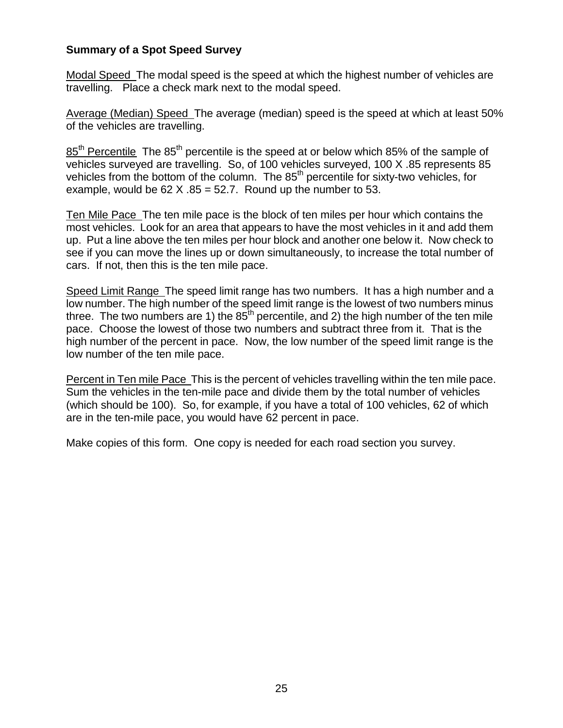#### **Summary of a Spot Speed Survey**

Modal Speed The modal speed is the speed at which the highest number of vehicles are travelling. Place a check mark next to the modal speed.

Average (Median) Speed The average (median) speed is the speed at which at least 50% of the vehicles are travelling.

85<sup>th</sup> Percentile The 85<sup>th</sup> percentile is the speed at or below which 85% of the sample of vehicles surveyed are travelling. So, of 100 vehicles surveyed, 100 X .85 represents 85 vehicles from the bottom of the column. The 85<sup>th</sup> percentile for sixty-two vehicles, for example, would be  $62 \text{ X}$ .  $85 = 52.7$ . Round up the number to 53.

Ten Mile Pace The ten mile pace is the block of ten miles per hour which contains the most vehicles. Look for an area that appears to have the most vehicles in it and add them up. Put a line above the ten miles per hour block and another one below it. Now check to see if you can move the lines up or down simultaneously, to increase the total number of cars. If not, then this is the ten mile pace.

Speed Limit Range The speed limit range has two numbers. It has a high number and a low number. The high number of the speed limit range is the lowest of two numbers minus three. The two numbers are 1) the  $85<sup>th</sup>$  percentile, and 2) the high number of the ten mile pace. Choose the lowest of those two numbers and subtract three from it. That is the high number of the percent in pace. Now, the low number of the speed limit range is the low number of the ten mile pace.

Percent in Ten mile Pace This is the percent of vehicles travelling within the ten mile pace. Sum the vehicles in the ten-mile pace and divide them by the total number of vehicles (which should be 100). So, for example, if you have a total of 100 vehicles, 62 of which are in the ten-mile pace, you would have 62 percent in pace.

Make copies of this form. One copy is needed for each road section you survey.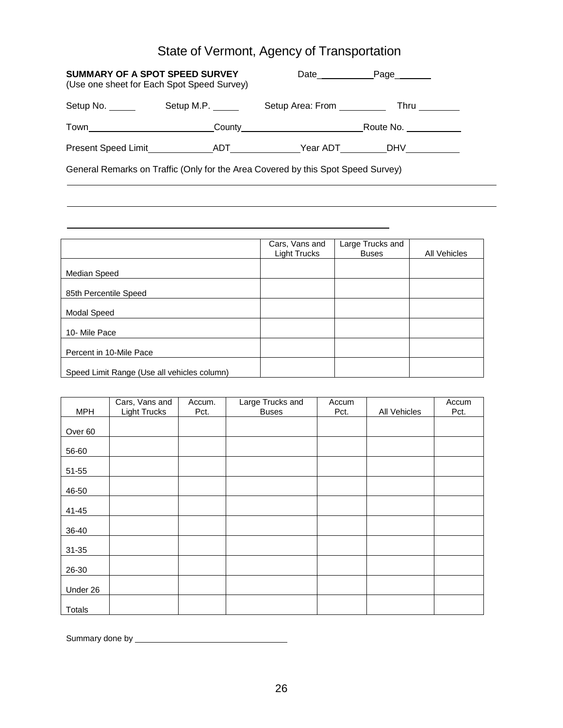## State of Vermont, Agency of Transportation

| SUMMARY OF A SPOT SPEED SURVEY<br>(Use one sheet for Each Spot Speed Survey) |                   | Date___________ | Page________ |
|------------------------------------------------------------------------------|-------------------|-----------------|--------------|
| Setup No. _____                                                              | Setup M.P. ______ |                 |              |
|                                                                              |                   |                 |              |
|                                                                              |                   |                 |              |
|                                                                              |                   |                 |              |

General Remarks on Traffic (Only for the Area Covered by this Spot Speed Survey)

|                                             | Cars, Vans and<br><b>Light Trucks</b> | Large Trucks and<br><b>Buses</b> | <b>All Vehicles</b> |
|---------------------------------------------|---------------------------------------|----------------------------------|---------------------|
| Median Speed                                |                                       |                                  |                     |
| 85th Percentile Speed                       |                                       |                                  |                     |
| Modal Speed                                 |                                       |                                  |                     |
| 10- Mile Pace                               |                                       |                                  |                     |
| Percent in 10-Mile Pace                     |                                       |                                  |                     |
| Speed Limit Range (Use all vehicles column) |                                       |                                  |                     |

<u> 1989 - Johann Stein, marwolaethau a bhann an t-Amhain an t-Amhain an t-Amhain an t-Amhain an t-Amhain an t-A</u>

|            | Cars, Vans and      | Accum. | Large Trucks and | Accum |              | Accum |
|------------|---------------------|--------|------------------|-------|--------------|-------|
| <b>MPH</b> | <b>Light Trucks</b> | Pct.   | <b>Buses</b>     | Pct.  | All Vehicles | Pct.  |
|            |                     |        |                  |       |              |       |
| Over 60    |                     |        |                  |       |              |       |
| 56-60      |                     |        |                  |       |              |       |
| 51-55      |                     |        |                  |       |              |       |
| 46-50      |                     |        |                  |       |              |       |
| 41-45      |                     |        |                  |       |              |       |
| 36-40      |                     |        |                  |       |              |       |
| 31-35      |                     |        |                  |       |              |       |
| 26-30      |                     |        |                  |       |              |       |
| Under 26   |                     |        |                  |       |              |       |
| Totals     |                     |        |                  |       |              |       |

Summary done by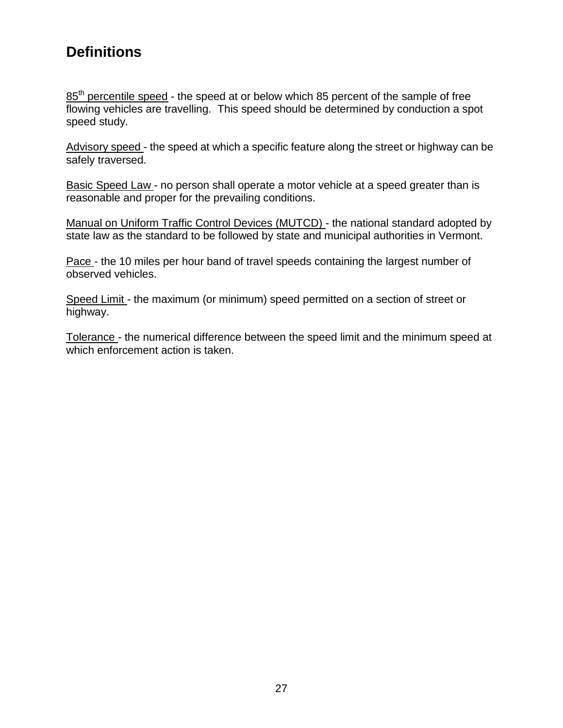## **Definitions**

85<sup>th</sup> percentile speed - the speed at or below which 85 percent of the sample of free flowing vehicles are travelling. This speed should be determined by conduction a spot speed study.

Advisory speed - the speed at which a specific feature along the street or highway can be safely traversed.

Basic Speed Law - no person shall operate a motor vehicle at a speed greater than is reasonable and proper for the prevailing conditions.

Manual on Uniform Traffic Control Devices (MUTCD) - the national standard adopted by state law as the standard to be followed by state and municipal authorities in Vermont.

Pace - the 10 miles per hour band of travel speeds containing the largest number of observed vehicles.

Speed Limit - the maximum (or minimum) speed permitted on a section of street or highway.

Tolerance - the numerical difference between the speed limit and the minimum speed at which enforcement action is taken.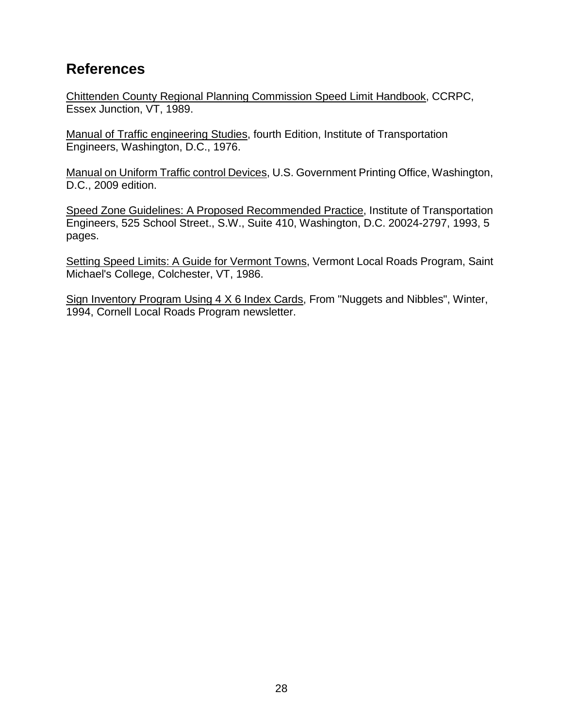## **References**

Chittenden County Regional Planning Commission Speed Limit Handbook, CCRPC, Essex Junction, VT, 1989.

Manual of Traffic engineering Studies, fourth Edition, Institute of Transportation Engineers, Washington, D.C., 1976.

Manual on Uniform Traffic control Devices, U.S. Government Printing Office, Washington, D.C., 2009 edition.

Speed Zone Guidelines: A Proposed Recommended Practice, Institute of Transportation Engineers, 525 School Street., S.W., Suite 410, Washington, D.C. 20024-2797, 1993, 5 pages.

Setting Speed Limits: A Guide for Vermont Towns, Vermont Local Roads Program, Saint Michael's College, Colchester, VT, 1986.

Sign Inventory Program Using 4 X 6 Index Cards, From "Nuggets and Nibbles", Winter, 1994, Cornell Local Roads Program newsletter.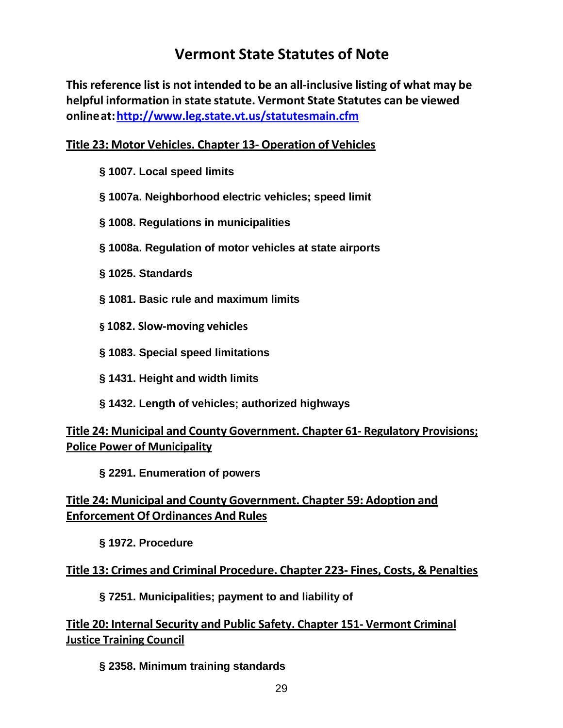## **Vermont State Statutes of Note**

**This reference list is not intended to be an all-inclusive listing of what may be helpful information in state statute. Vermont State Statutes can be viewed onlineat[:http://www.leg.state.vt.us/statutesmain.cfm](http://www.leg.state.vt.us/statutesmain.cfm)**

#### **Title 23: Motor Vehicles. Chapter 13- Operation of Vehicles**

- **§ 1007. Local speed limits**
- **§ 1007a. Neighborhood electric vehicles; speed limit**
- **§ 1008. Regulations in municipalities**
- **§ 1008a. Regulation of motor vehicles at state airports**
- **§ 1025. Standards**
- **§ 1081. Basic rule and maximum limits**
- **§ 1082. Slow-moving vehicles**
- **§ 1083. Special speed limitations**
- **§ 1431. Height and width limits**
- **§ 1432. Length of vehicles; authorized highways**

**Title 24: Municipal and County Government. Chapter 61- Regulatory Provisions; Police Power of Municipality**

**§ 2291. Enumeration of powers**

#### **Title 24: Municipal and County Government. Chapter 59: Adoption and Enforcement Of Ordinances And Rules**

**§ 1972. Procedure**

#### **Title 13: Crimes and Criminal Procedure. Chapter 223- Fines, Costs, & Penalties**

**§ 7251. Municipalities; payment to and liability of**

**Title 20: Internal Security and Public Safety. Chapter 151- Vermont Criminal Justice Training Council**

#### **§ 2358. Minimum training standards**